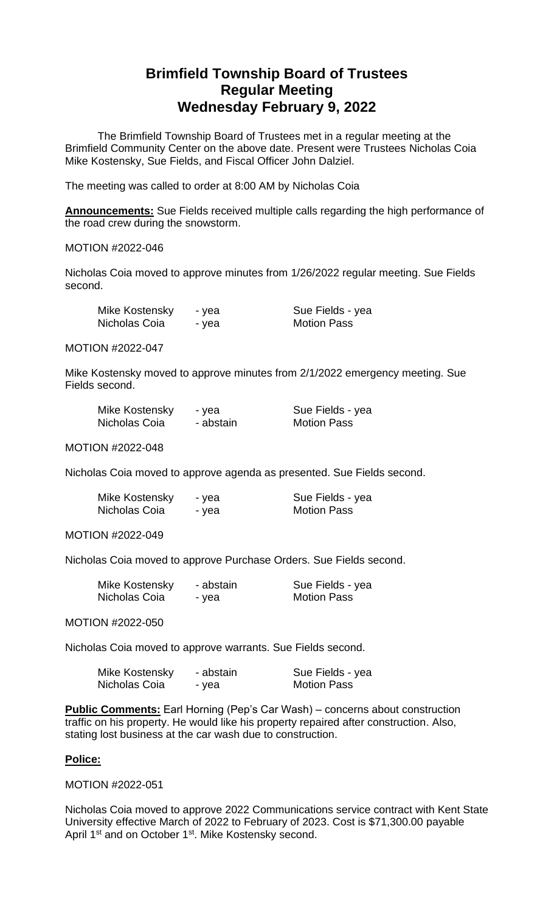## **Brimfield Township Board of Trustees Regular Meeting Wednesday February 9, 2022**

The Brimfield Township Board of Trustees met in a regular meeting at the Brimfield Community Center on the above date. Present were Trustees Nicholas Coia Mike Kostensky, Sue Fields, and Fiscal Officer John Dalziel.

The meeting was called to order at 8:00 AM by Nicholas Coia

**Announcements:** Sue Fields received multiple calls regarding the high performance of the road crew during the snowstorm.

## MOTION #2022-046

Nicholas Coia moved to approve minutes from 1/26/2022 regular meeting. Sue Fields second.

| Mike Kostensky | - yea |
|----------------|-------|
| Nicholas Coia  | - yea |

Sue Fields - yea **Motion Pass** 

MOTION #2022-047

Mike Kostensky moved to approve minutes from 2/1/2022 emergency meeting. Sue Fields second.

| Mike Kostensky | - yea     | Sue Fields - yea   |
|----------------|-----------|--------------------|
| Nicholas Coia  | - abstain | <b>Motion Pass</b> |

MOTION #2022-048

Nicholas Coia moved to approve agenda as presented. Sue Fields second.

| Mike Kostensky | - yea | Sue Fields - yea   |
|----------------|-------|--------------------|
| Nicholas Coia  | - yea | <b>Motion Pass</b> |

MOTION #2022-049

Nicholas Coia moved to approve Purchase Orders. Sue Fields second.

| Mike Kostensky | - abstain | Sue Fields - yea   |
|----------------|-----------|--------------------|
| Nicholas Coia  | - yea     | <b>Motion Pass</b> |

MOTION #2022-050

Nicholas Coia moved to approve warrants. Sue Fields second.

| Mike Kostensky | - abstain | Sue Fields - yea   |
|----------------|-----------|--------------------|
| Nicholas Coia  | - yea     | <b>Motion Pass</b> |

**Public Comments:** Earl Horning (Pep's Car Wash) – concerns about construction traffic on his property. He would like his property repaired after construction. Also, stating lost business at the car wash due to construction.

## **Police:**

MOTION #2022-051

Nicholas Coia moved to approve 2022 Communications service contract with Kent State University effective March of 2022 to February of 2023. Cost is \$71,300.00 payable April 1<sup>st</sup> and on October 1<sup>st</sup>. Mike Kostensky second.